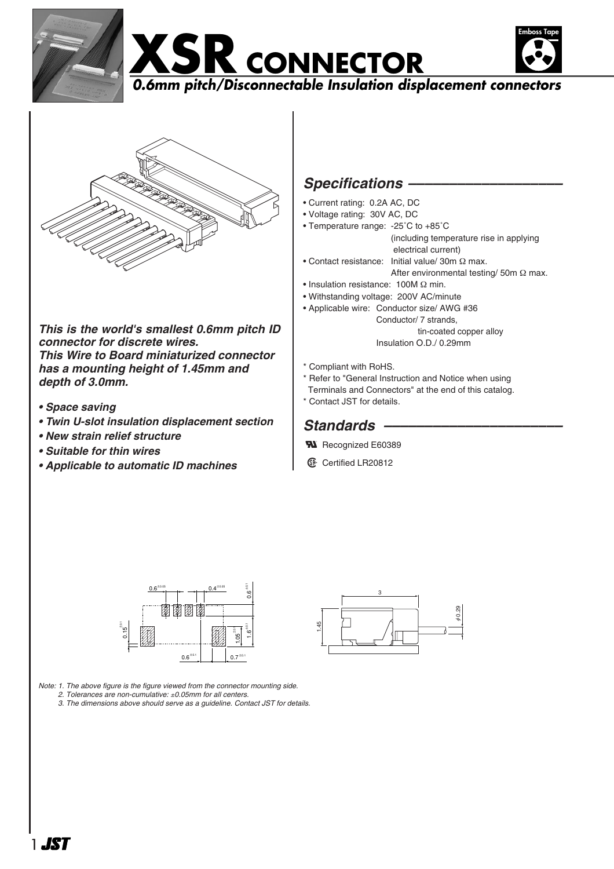







*This is the world's smallest 0.6mm pitch ID connector for discrete wires. This Wire to Board miniaturized connector has a mounting height of 1.45mm and depth of 3.0mm.*

- *Space saving*
- *Twin U-slot insulation displacement section*
- *New strain relief structure*
- *Suitable for thin wires*
- *Applicable to automatic ID machines*

## Specifications -

- Current rating: 0.2A AC, DC
- Voltage rating: 30V AC, DC
- Temperature range: -25˚C to +85˚C (including temperature rise in applying electrical current)
- Contact resistance: Initial value/ 30m Ω max.
- After environmental testing/ 50m Ω max.
- Insulation resistance: 100M Ω min.
- Withstanding voltage: 200V AC/minute
- Applicable wire: Conductor size/ AWG #36 Conductor/ 7 strands, tin-coated copper alloy

Insulation O.D./ 0.29mm

- \* Compliant with RoHS.
- \* Refer to "General Instruction and Notice when using
- Terminals and Connectors" at the end of this catalog.
- \* Contact JST for details.

## *Standards ––––––––––––––––––––––*

1.45

- **W** Recognized E60389
- **1** Certified LR20812

3

0.29 φ



*Note: 1. The above figure is the figure viewed from the connector mounting side.*

*Note: 2. Tolerances are non-cumulative:* ±*0.05mm for all centers.*

*Note: 3. The dimensions above should serve as a guideline. Contact JST for details.*